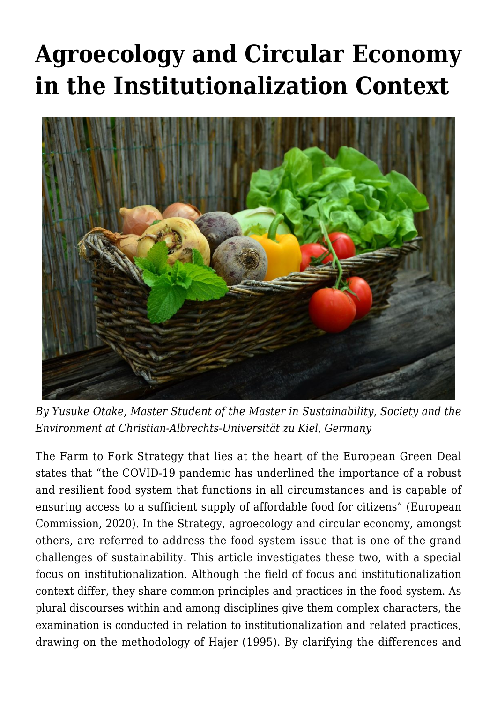# **[Agroecology and Circular Economy](https://regions.regionalstudies.org/ezine/article/issue-12-agroeco-and-circular-economy/) [in the Institutionalization Context](https://regions.regionalstudies.org/ezine/article/issue-12-agroeco-and-circular-economy/)**



*By [Yusuke Otake](https://regions.regionalstudies.org/stu237452@mail.uni-kiel.de), Master Student of the Master in Sustainability, Society and the Environment at Christian-Albrechts-Universität zu Kiel, Germany*

The Farm to Fork Strategy that lies at the heart of the European Green Deal states that "the COVID-19 pandemic has underlined the importance of a robust and resilient food system that functions in all circumstances and is capable of ensuring access to a sufficient supply of affordable food for citizens" (European Commission, 2020). In the Strategy, agroecology and circular economy, amongst others, are referred to address the food system issue that is one of the grand challenges of sustainability. This article investigates these two, with a special focus on institutionalization. Although the field of focus and institutionalization context differ, they share common principles and practices in the food system. As plural discourses within and among disciplines give them complex characters, the examination is conducted in relation to institutionalization and related practices, drawing on the methodology of Hajer (1995). By clarifying the differences and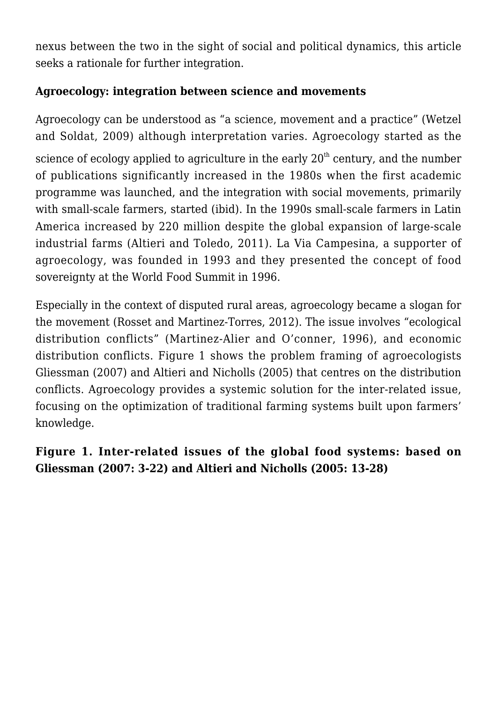nexus between the two in the sight of social and political dynamics, this article seeks a rationale for further integration.

### **Agroecology: integration between science and movements**

Agroecology can be understood as "a science, movement and a practice" (Wetzel and Soldat, 2009) although interpretation varies. Agroecology started as the

science of ecology applied to agriculture in the early  $20<sup>th</sup>$  century, and the number of publications significantly increased in the 1980s when the first academic programme was launched, and the integration with social movements, primarily with small-scale farmers, started (ibid). In the 1990s small-scale farmers in Latin America increased by 220 million despite the global expansion of large-scale industrial farms (Altieri and Toledo, 2011). La Via Campesina, a supporter of agroecology, was founded in 1993 and they presented the concept of food sovereignty at the World Food Summit in 1996.

Especially in the context of disputed rural areas, agroecology became a slogan for the movement (Rosset and Martinez-Torres, 2012). The issue involves "ecological distribution conflicts" (Martinez-Alier and O'conner, 1996), and economic distribution conflicts. Figure 1 shows the problem framing of agroecologists Gliessman (2007) and Altieri and Nicholls (2005) that centres on the distribution conflicts. Agroecology provides a systemic solution for the inter-related issue, focusing on the optimization of traditional farming systems built upon farmers' knowledge.

**Figure 1. Inter-related issues of the global food systems: based on Gliessman (2007: 3-22) and Altieri and Nicholls (2005: 13-28)**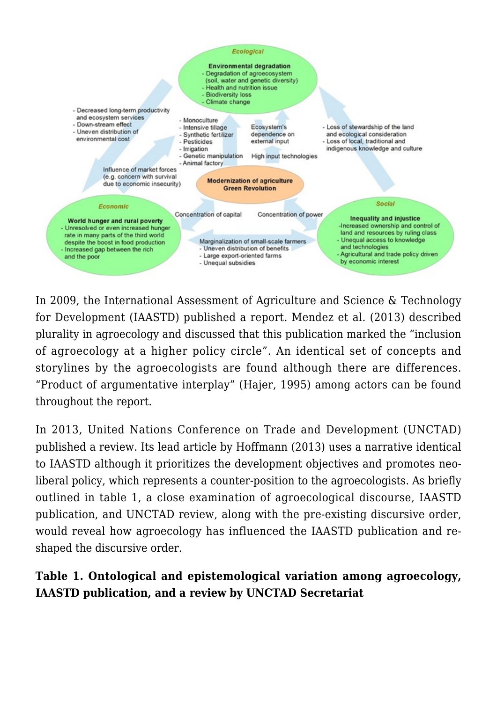

In 2009, the International Assessment of Agriculture and Science & Technology for Development (IAASTD) published a report*.* Mendez et al. (2013) described plurality in agroecology and discussed that this publication marked the "inclusion of agroecology at a higher policy circle". An identical set of concepts and storylines by the agroecologists are found although there are differences. "Product of argumentative interplay" (Hajer, 1995) among actors can be found throughout the report.

In 2013, United Nations Conference on Trade and Development (UNCTAD) published a review. Its lead article by Hoffmann (2013) uses a narrative identical to IAASTD although it prioritizes the development objectives and promotes neoliberal policy, which represents a counter-position to the agroecologists. As briefly outlined in table 1, a close examination of agroecological discourse, IAASTD publication, and UNCTAD review, along with the pre-existing discursive order, would reveal how agroecology has influenced the IAASTD publication and reshaped the discursive order.

## **Table 1. Ontological and epistemological variation among agroecology, IAASTD publication, and a review by UNCTAD Secretariat**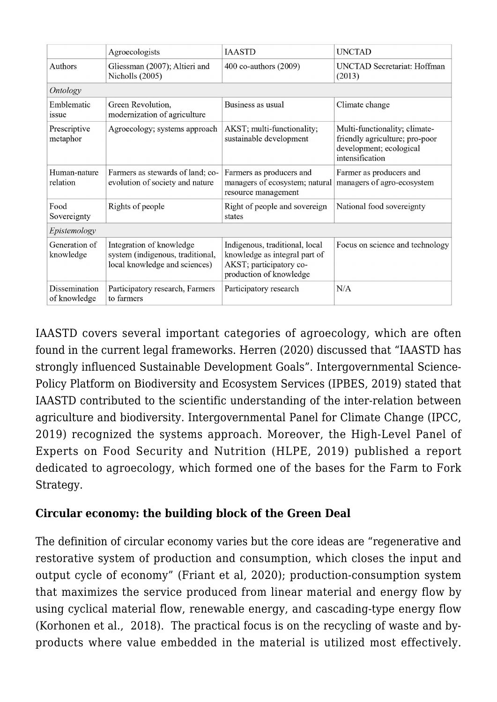|                               | Agroecologists                                                                                | <b>IAASTD</b>                                                                                                         | <b>UNCTAD</b>                                                                                                 |
|-------------------------------|-----------------------------------------------------------------------------------------------|-----------------------------------------------------------------------------------------------------------------------|---------------------------------------------------------------------------------------------------------------|
| Authors                       | Gliessman (2007); Altieri and<br>Nicholls (2005)                                              | 400 co-authors (2009)                                                                                                 | <b>UNCTAD Secretariat: Hoffman</b><br>(2013)                                                                  |
| <b>Ontology</b>               |                                                                                               |                                                                                                                       |                                                                                                               |
| Emblematic<br><i>issue</i>    | Green Revolution,<br>modernization of agriculture                                             | Business as usual                                                                                                     | Climate change                                                                                                |
| Prescriptive<br>metaphor      | Agroecology; systems approach                                                                 | AKST; multi-functionality;<br>sustainable development                                                                 | Multi-functionality; climate-<br>friendly agriculture; pro-poor<br>development; ecological<br>intensification |
| Human-nature<br>relation      | Farmers as stewards of land; co-<br>evolution of society and nature                           | Farmers as producers and<br>managers of ecosystem; natural<br>resource management                                     | Farmer as producers and<br>managers of agro-ecosystem                                                         |
| Food<br>Sovereignty           | Rights of people                                                                              | Right of people and sovereign<br>states                                                                               | National food sovereignty                                                                                     |
| Epistemology                  |                                                                                               |                                                                                                                       |                                                                                                               |
| Generation of<br>knowledge    | Integration of knowledge<br>system (indigenous, traditional,<br>local knowledge and sciences) | Indigenous, traditional, local<br>knowledge as integral part of<br>AKST; participatory co-<br>production of knowledge | Focus on science and technology                                                                               |
| Dissemination<br>of knowledge | Participatory research, Farmers<br>to farmers                                                 | Participatory research                                                                                                | N/A                                                                                                           |

IAASTD covers several important categories of agroecology, which are often found in the current legal frameworks. Herren (2020) discussed that "IAASTD has strongly influenced Sustainable Development Goals". Intergovernmental Science-Policy Platform on Biodiversity and Ecosystem Services (IPBES, 2019) stated that IAASTD contributed to the scientific understanding of the inter-relation between agriculture and biodiversity. [Intergovernmental Panel for Climate Change](https://www.ipcc.ch/) (IPCC, 2019) recognized the systems approach. Moreover, the High-Level Panel of Experts on Food Security and Nutrition (HLPE, 2019) published a report dedicated to agroecology, which formed one of the bases for the [Farm to Fork](https://ec.europa.eu/food/horizontal-topics/farm-fork-strategy_en) [Strategy](https://ec.europa.eu/food/horizontal-topics/farm-fork-strategy_en).

#### **Circular economy: the building block of the [Green Deal](https://ec.europa.eu/info/strategy/priorities-2019-2024/european-green-deal_en)**

The definition of circular economy varies but the core ideas are "regenerative and restorative system of production and consumption, which closes the input and output cycle of economy" (Friant et al, 2020); production-consumption system that maximizes the service produced from linear material and energy flow by using cyclical material flow, renewable energy, and cascading-type energy flow (Korhonen et al., 2018). The practical focus is on the recycling of waste and byproducts where value embedded in the material is utilized most effectively.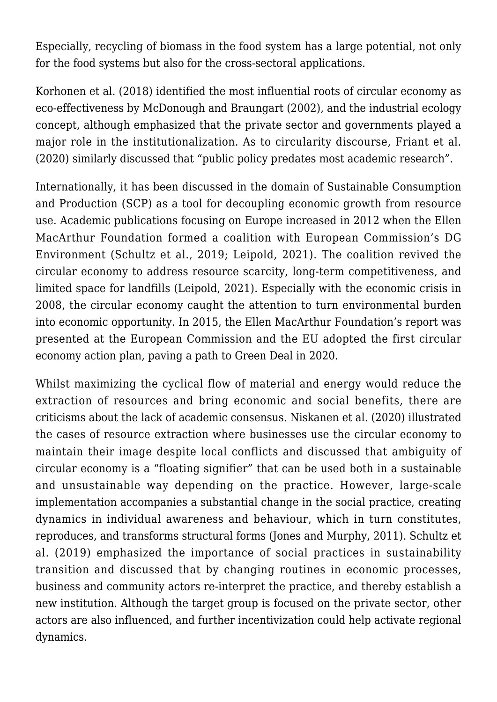Especially, recycling of biomass in the food system has a large potential, not only for the food systems but also for the cross-sectoral applications.

Korhonen et al. (2018) identified the most influential roots of circular economy as eco-effectiveness by McDonough and Braungart (2002), and the industrial ecology concept, although emphasized that the private sector and governments played a major role in the institutionalization. As to circularity discourse, Friant et al. (2020) similarly discussed that "public policy predates most academic research".

Internationally, it has been discussed in the domain of Sustainable Consumption and Production (SCP) as a tool for decoupling economic growth from resource use. Academic publications focusing on Europe increased in 2012 when the Ellen MacArthur Foundation formed a coalition with European Commission's DG Environment (Schultz et al., 2019; Leipold, 2021). The coalition revived the circular economy to address resource scarcity, long-term competitiveness, and limited space for landfills (Leipold, 2021). Especially with the economic crisis in 2008, the circular economy caught the attention to turn environmental burden into economic opportunity. In 2015, the Ellen MacArthur Foundation's report was presented at the European Commission and the EU adopted the first circular economy action plan, paving a path to Green Deal in 2020.

Whilst maximizing the cyclical flow of material and energy would reduce the extraction of resources and bring economic and social benefits, there are criticisms about the lack of academic consensus. Niskanen et al. (2020) illustrated the cases of resource extraction where businesses use the circular economy to maintain their image despite local conflicts and discussed that ambiguity of circular economy is a "floating signifier" that can be used both in a sustainable and unsustainable way depending on the practice. However, large-scale implementation accompanies a substantial change in the social practice, creating dynamics in individual awareness and behaviour, which in turn constitutes, reproduces, and transforms structural forms (Jones and Murphy, 2011). Schultz et al. (2019) emphasized the importance of social practices in sustainability transition and discussed that by changing routines in economic processes, business and community actors re-interpret the practice, and thereby establish a new institution. Although the target group is focused on the private sector, other actors are also influenced, and further incentivization could help activate regional dynamics.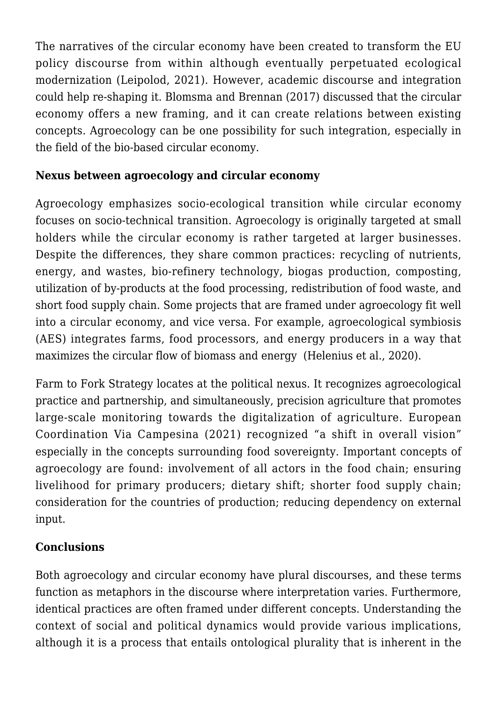The narratives of the circular economy have been created to transform the EU policy discourse from within although eventually perpetuated ecological modernization (Leipolod, 2021). However, academic discourse and integration could help re-shaping it. Blomsma and Brennan (2017) discussed that the circular economy offers a new framing, and it can create relations between existing concepts. Agroecology can be one possibility for such integration, especially in the field of the bio-based circular economy.

## **Nexus between agroecology and circular economy**

Agroecology emphasizes socio-ecological transition while circular economy focuses on socio-technical transition. Agroecology is originally targeted at small holders while the circular economy is rather targeted at larger businesses. Despite the differences, they share common practices: recycling of nutrients, energy, and wastes, bio-refinery technology, biogas production, composting, utilization of by-products at the food processing, redistribution of food waste, and short food supply chain. Some projects that are framed under agroecology fit well into a circular economy, and vice versa. For example, agroecological symbiosis (AES) integrates farms, food processors, and energy producers in a way that maximizes the circular flow of biomass and energy (Helenius et al., 2020).

Farm to Fork Strategy locates at the political nexus. It recognizes agroecological practice and partnership, and simultaneously, precision agriculture that promotes large-scale monitoring towards the digitalization of agriculture. European Coordination Via Campesina (2021) recognized "a shift in overall vision" especially in the concepts surrounding food sovereignty. Important concepts of agroecology are found: involvement of all actors in the food chain; ensuring livelihood for primary producers; dietary shift; shorter food supply chain; consideration for the countries of production; reducing dependency on external input.

## **Conclusions**

Both agroecology and circular economy have plural discourses, and these terms function as metaphors in the discourse where interpretation varies. Furthermore, identical practices are often framed under different concepts. Understanding the context of social and political dynamics would provide various implications, although it is a process that entails ontological plurality that is inherent in the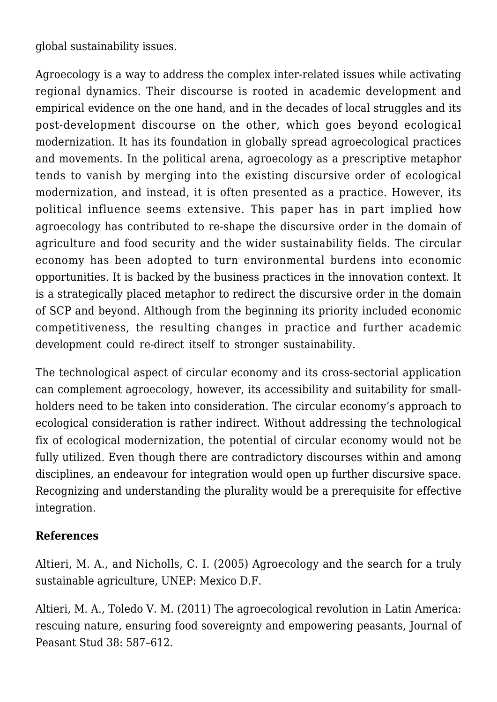global sustainability issues.

Agroecology is a way to address the complex inter-related issues while activating regional dynamics. Their discourse is rooted in academic development and empirical evidence on the one hand, and in the decades of local struggles and its post-development discourse on the other, which goes beyond ecological modernization. It has its foundation in globally spread agroecological practices and movements. In the political arena, agroecology as a prescriptive metaphor tends to vanish by merging into the existing discursive order of ecological modernization, and instead, it is often presented as a practice. However, its political influence seems extensive. This paper has in part implied how agroecology has contributed to re-shape the discursive order in the domain of agriculture and food security and the wider sustainability fields. The circular economy has been adopted to turn environmental burdens into economic opportunities. It is backed by the business practices in the innovation context. It is a strategically placed metaphor to redirect the discursive order in the domain of SCP and beyond. Although from the beginning its priority included economic competitiveness, the resulting changes in practice and further academic development could re-direct itself to stronger sustainability.

The technological aspect of circular economy and its cross-sectorial application can complement agroecology, however, its accessibility and suitability for smallholders need to be taken into consideration. The circular economy's approach to ecological consideration is rather indirect. Without addressing the technological fix of ecological modernization, the potential of circular economy would not be fully utilized. Even though there are contradictory discourses within and among disciplines, an endeavour for integration would open up further discursive space. Recognizing and understanding the plurality would be a prerequisite for effective integration.

#### **References**

Altieri, M. A., and Nicholls, C. I. (2005) [Agroecology and the search for a truly](https://agroeco.org/doc/agroecology-engl-PNUMA.pdf) [sustainable agriculture, UNEP: Mexico D.F.](https://agroeco.org/doc/agroecology-engl-PNUMA.pdf)

Altieri, M. A., Toledo V. M. (2011) [The agroecological revolution in Latin America:](https://www.tandfonline.com/doi/abs/10.1080/03066150.2011.582947) [rescuing nature, ensuring food sovereignty and empowering peasants,](https://www.tandfonline.com/doi/abs/10.1080/03066150.2011.582947) Journal of Peasant Stud 38: 587–612.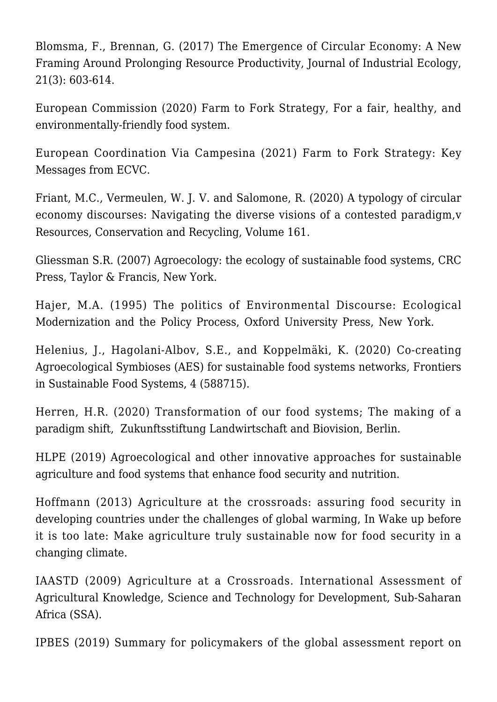Blomsma, F., Brennan, G. (2017) [The Emergence of Circular Economy: A New](https://onlinelibrary.wiley.com/doi/full/10.1111/jiec.12603) [Framing Around Prolonging Resource Productivity](https://onlinelibrary.wiley.com/doi/full/10.1111/jiec.12603), Journal of Industrial Ecology, 21(3): 603-614.

European Commission (2020) [Farm to Fork Strategy, For a fair, healthy, and](https://ec.europa.eu/food/horizontal-topics/farm-fork-strategy_en) [environmentally-friendly food system.](https://ec.europa.eu/food/horizontal-topics/farm-fork-strategy_en)

European Coordination Via Campesina (2021) [Farm to Fork Strategy: Key](https://www.eurovia.org/wp-content/uploads/2021/02/2021-02-01-FINALE-EN-ECVC-documento-F2F.pdf) [Messages from ECVC](https://www.eurovia.org/wp-content/uploads/2021/02/2021-02-01-FINALE-EN-ECVC-documento-F2F.pdf).

Friant, M.C., Vermeulen, W. J. V. and Salomone, R. (2020) [A typology of circular](https://www.sciencedirect.com/science/article/pii/S0921344920302354) [economy discourses: Navigating the diverse visions of a contested paradigm,v](https://www.sciencedirect.com/science/article/pii/S0921344920302354) Resources, Conservation and Recycling, Volume 161.

Gliessman S.R. (2007) [Agroecology: the ecology of sustainable food systems, CRC](https://www.routledge.com/Agroecology-The-Ecology-of-Sustainable-Food-Systems-Third-Edition/author/p/book/9781439895610) [Press, Taylor & Francis, New York.](https://www.routledge.com/Agroecology-The-Ecology-of-Sustainable-Food-Systems-Third-Edition/author/p/book/9781439895610)

Hajer, M.A. (1995) [The politics of Environmental Discourse: Ecological](https://oxford.universitypressscholarship.com/view/10.1093/019829333X.001.0001/acprof-9780198293330) [Modernization and the Policy Process](https://oxford.universitypressscholarship.com/view/10.1093/019829333X.001.0001/acprof-9780198293330), Oxford University Press, New York.

Helenius, J., Hagolani-Albov, S.E., and Koppelmäki, K. (2020) [Co-creating](https://www.frontiersin.org/articles/10.3389/fsufs.2020.588715/full) [Agroecological Symbioses \(AES\) for sustainable food systems networks](https://www.frontiersin.org/articles/10.3389/fsufs.2020.588715/full), Frontiers in Sustainable Food Systems, 4 (588715).

Herren, H.R. (2020) [Transformation of our food systems; The making of a](https://www.globalagriculture.org/fileadmin/files/weltagrarbericht/IAASTD-Buch/PDFBuch/BuchWebTransformationFoodSystems.pdf) [paradigm shift, Zukunftsstiftung Landwirtschaft and Biovision, Berlin](https://www.globalagriculture.org/fileadmin/files/weltagrarbericht/IAASTD-Buch/PDFBuch/BuchWebTransformationFoodSystems.pdf).

HLPE (2019) [Agroecological and other innovative approaches for sustainable](https://www.fao.org/3/ca5602en/ca5602en.pdf) [agriculture and food systems that enhance food security and nutrition](https://www.fao.org/3/ca5602en/ca5602en.pdf).

Hoffmann (2013) [Agriculture at the crossroads: assuring food security in](https://unctad.org/system/files/official-document/ditcted2012d3_en.pdf) [developing countries under the challenges of global warming, In Wake up before](https://unctad.org/system/files/official-document/ditcted2012d3_en.pdf) [it is too late: Make agriculture truly sustainable now for food security in a](https://unctad.org/system/files/official-document/ditcted2012d3_en.pdf) [changing climate.](https://unctad.org/system/files/official-document/ditcted2012d3_en.pdf)

IAASTD (2009) [Agriculture at a Crossroads. International Assessment of](https://www.fao.org/family-farming/detail/en/c/286358/) [Agricultural Knowledge, Science and Technology for Development, Sub-Saharan](https://www.fao.org/family-farming/detail/en/c/286358/) [Africa](https://www.fao.org/family-farming/detail/en/c/286358/) (SSA).

IPBES (2019) [Summary for policymakers of the global assessment report on](https://zenodo.org/record/3553579#.YhJkSd9BzIU)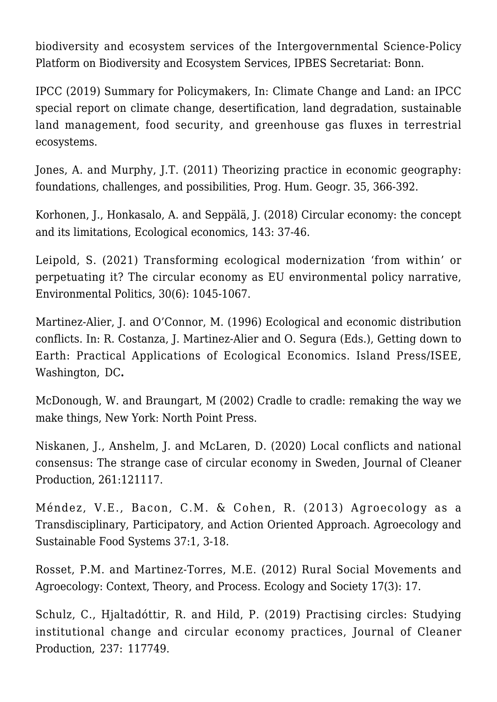[biodiversity and ecosystem services of the Intergovernmental Science-Policy](https://zenodo.org/record/3553579#.YhJkSd9BzIU) [Platform on Biodiversity and Ecosystem Services,](https://zenodo.org/record/3553579#.YhJkSd9BzIU) IPBES Secretariat: Bonn.

IPCC (2019) Summary for Policymakers, In: [Climate Change and Land: an IPCC](https://www.ipcc.ch/site/assets/uploads/sites/4/2019/12/02_Summary-for-Policymakers_SPM.pdf) [special report on climate change, desertification, land degradation, sustainable](https://www.ipcc.ch/site/assets/uploads/sites/4/2019/12/02_Summary-for-Policymakers_SPM.pdf) [land management, food security, and greenhouse gas fluxes in terrestrial](https://www.ipcc.ch/site/assets/uploads/sites/4/2019/12/02_Summary-for-Policymakers_SPM.pdf) [ecosystems.](https://www.ipcc.ch/site/assets/uploads/sites/4/2019/12/02_Summary-for-Policymakers_SPM.pdf)

Jones, A. and Murphy, J.T. (2011) [Theorizing practice in economic geography:](https://journals.sagepub.com/doi/10.1177/0309132510375585) [foundations, challenges, and possibilities](https://journals.sagepub.com/doi/10.1177/0309132510375585), Prog. Hum. Geogr. 35, 366-392.

Korhonen, J., Honkasalo, A. and Seppälä, J. (2018) [Circular economy: the concept](https://www.sciencedirect.com/science/article/abs/pii/S0921800916300325) [and its limitations](https://www.sciencedirect.com/science/article/abs/pii/S0921800916300325), Ecological economics, 143: 37-46.

Leipold, S. (2021) [Transforming ecological modernization 'from within' or](https://www.tandfonline.com/doi/full/10.1080/09644016.2020.1868863) [perpetuating it? The circular economy as EU environmental policy narrative,](https://www.tandfonline.com/doi/full/10.1080/09644016.2020.1868863) Environmental Politics, 30(6): 1045-1067.

Martinez-Alier, J. and O'Connor, M. (1996) Ecological and economic distribution conflicts. In: R. Costanza, J. Martinez-Alier and O. Segura (Eds.), [Getting down to](https://www.academia.edu/2547831/Getting_down_to_earth_practical_applications_of_ecological_economics) [Earth: Practical Applications of Ecological Economics. Island Press/ISEE,](https://www.academia.edu/2547831/Getting_down_to_earth_practical_applications_of_ecological_economics) [Washington, DC](https://www.academia.edu/2547831/Getting_down_to_earth_practical_applications_of_ecological_economics)**.**

McDonough, W. and Braungart, M (2002) [Cradle to cradle: remaking the way we](https://mcdonough.com/writings/cradle-cradle-remaking-way-make-things/) [make things, New York: North Point Press.](https://mcdonough.com/writings/cradle-cradle-remaking-way-make-things/)

Niskanen, J., Anshelm, J. and McLaren, D. (2020) [Local conflicts and national](https://www.sciencedirect.com/science/article/abs/pii/S0959652620311641) [consensus: The strange case of circular economy in Sweden,](https://www.sciencedirect.com/science/article/abs/pii/S0959652620311641) Journal of Cleaner Production, 261:121117.

Méndez, V.E., Bacon, C.M. & Cohen, R. (2013) [Agroecology as a](https://www.tandfonline.com/doi/abs/10.1080/10440046.2012.736926#:~:text=Agroecology%20as%20a%20Transdisciplinary%2C%20Participatory%2C%20and%20Action%2DOriented%20Approach,-Full%20Article&text=This%20article%20traces%20multiple%20directions,on%20broader%20agro%2Dfood%20systems.) [Transdisciplinary, Participatory, and Action Oriented Approach.](https://www.tandfonline.com/doi/abs/10.1080/10440046.2012.736926#:~:text=Agroecology%20as%20a%20Transdisciplinary%2C%20Participatory%2C%20and%20Action%2DOriented%20Approach,-Full%20Article&text=This%20article%20traces%20multiple%20directions,on%20broader%20agro%2Dfood%20systems.) Agroecology and Sustainable Food Systems 37:1, 3-18.

Rosset, P.M. and Martinez-Torres, M.E. (2012) [Rural Social Movements and](https://www.ecologyandsociety.org/vol17/iss3/art17/) [Agroecology: Context, Theory, and Process](https://www.ecologyandsociety.org/vol17/iss3/art17/). Ecology and Society 17(3): 17.

Schulz, C., Hjaltadóttir, R. and Hild, P. (2019) [Practising circles: Studying](https://www.sciencedirect.com/science/article/pii/S0959652619326095) [institutional change and circular economy practices](https://www.sciencedirect.com/science/article/pii/S0959652619326095), Journal of Cleaner Production, 237: 117749.